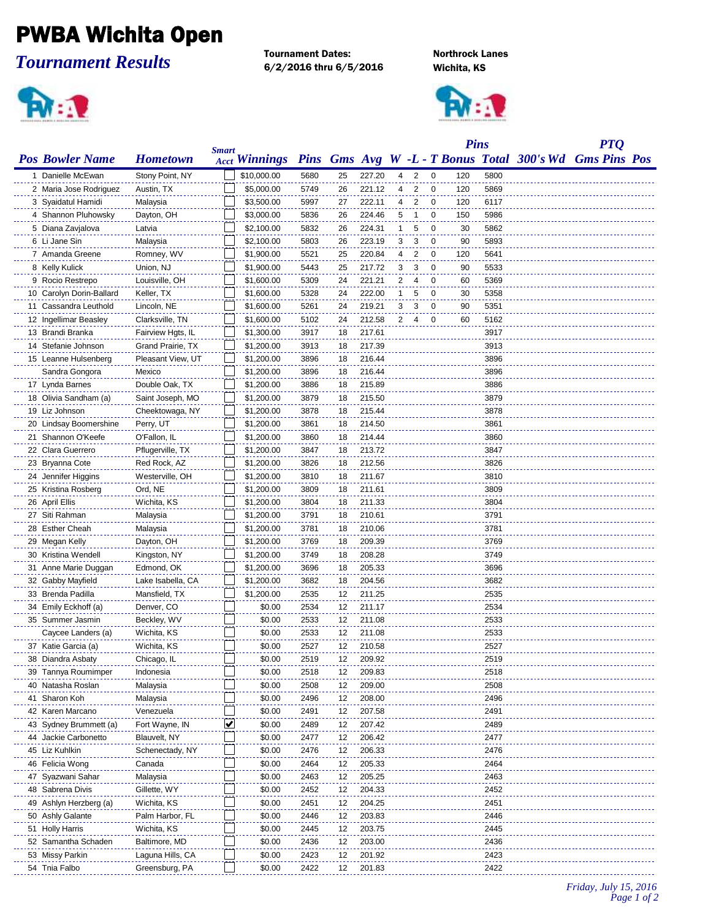## PWBA Wichita Open

*Tournament Results*

**Ariel** 

Tournament Dates: Northrock Lanes 6/2/2016 thru 6/5/2016 Wichita, KS



|                          |                   | <b>Smart</b> |                      |      |    |        |              |                |             | <b>Pins</b> |      | <b>PTQ</b>                                              |  |
|--------------------------|-------------------|--------------|----------------------|------|----|--------|--------------|----------------|-------------|-------------|------|---------------------------------------------------------|--|
| <b>Pos Bowler Name</b>   | <b>Hometown</b>   |              | <b>Acct Winnings</b> |      |    |        |              |                |             |             |      | Pins Gms Avg W -L - T Bonus Total 300's Wd Gms Pins Pos |  |
| 1 Danielle McEwan        | Stony Point, NY   |              | \$10,000.00          | 5680 | 25 | 227.20 | 4            | 2              | 0           | 120         | 5800 |                                                         |  |
| 2 Maria Jose Rodriguez   | Austin, TX        |              | \$5,000.00           | 5749 | 26 | 221.12 | 4            | 2              | 0           | 120         | 5869 |                                                         |  |
| 3 Syaidatul Hamidi       | Malaysia          |              | \$3,500.00           | 5997 | 27 | 222.11 | 4            | 2              | 0           | 120         | 6117 |                                                         |  |
| 4 Shannon Pluhowsky      | Dayton, OH        |              | \$3,000.00           | 5836 | 26 | 224.46 | 5            | -1             | 0           | 150         | 5986 |                                                         |  |
| 5 Diana Zavjalova        | Latvia            |              | \$2,100.00           | 5832 | 26 | 224.31 | $\mathbf{1}$ | 5              | 0           | 30          | 5862 |                                                         |  |
| 6 Li Jane Sin            | Malaysia          |              | \$2,100.00           | 5803 | 26 | 223.19 | 3            | 3              | $\mathbf 0$ | 90          | 5893 |                                                         |  |
| 7 Amanda Greene          | Romney, WV        |              | \$1,900.00           | 5521 | 25 | 220.84 | 4            | $\overline{2}$ | 0           | 120         | 5641 |                                                         |  |
| 8 Kelly Kulick           | Union, NJ         |              | \$1,900.00           | 5443 | 25 | 217.72 | 3            | 3              | 0           | 90          | 5533 |                                                         |  |
| 9 Rocio Restrepo         | Louisville, OH    |              | \$1,600.00           | 5309 | 24 | 221.21 | 2            | 4              | 0           | 60          | 5369 |                                                         |  |
| 10 Carolyn Dorin-Ballard | Keller, TX        |              | \$1,600.00           | 5328 | 24 | 222.00 | 1            | 5              | 0           | 30          | 5358 |                                                         |  |
| 11 Cassandra Leuthold    | Lincoln, NE       |              | \$1,600.00           | 5261 | 24 | 219.21 | 3            | 3              | 0           | 90          | 5351 |                                                         |  |
| 12 Ingellimar Beasley    | Clarksville, TN   |              | \$1,600.00           | 5102 | 24 | 212.58 | 2            | 4              | 0           | 60          | 5162 |                                                         |  |
| 13 Brandi Branka         | Fairview Hgts, IL |              | \$1,300.00           | 3917 | 18 | 217.61 |              |                |             |             | 3917 |                                                         |  |
| 14 Stefanie Johnson      | Grand Prairie, TX |              | \$1,200.00           | 3913 | 18 | 217.39 |              |                |             |             | 3913 |                                                         |  |
| 15 Leanne Hulsenberg     | Pleasant View, UT |              | \$1,200.00           | 3896 | 18 | 216.44 |              |                |             |             | 3896 |                                                         |  |
| Sandra Gongora           | Mexico            |              | \$1,200.00           | 3896 | 18 | 216.44 |              |                |             |             | 3896 |                                                         |  |
| 17 Lynda Barnes          | Double Oak, TX    |              | \$1,200.00           | 3886 | 18 | 215.89 |              |                |             |             | 3886 |                                                         |  |
| 18 Olivia Sandham (a)    | Saint Joseph, MO  |              | \$1,200.00           | 3879 | 18 | 215.50 |              |                |             |             | 3879 |                                                         |  |
| 19 Liz Johnson           | Cheektowaga, NY   |              | \$1,200.00           | 3878 | 18 | 215.44 |              |                |             |             | 3878 |                                                         |  |
| 20 Lindsay Boomershine   |                   |              |                      |      |    | 214.50 |              |                |             |             |      |                                                         |  |
|                          | Perry, UT         |              | \$1,200.00           | 3861 | 18 |        |              |                |             |             | 3861 |                                                         |  |
| 21 Shannon O'Keefe       | O'Fallon, IL      |              | \$1,200.00           | 3860 | 18 | 214.44 |              |                |             |             | 3860 |                                                         |  |
| 22 Clara Guerrero        | Pflugerville, TX  |              | \$1,200.00           | 3847 | 18 | 213.72 |              |                |             |             | 3847 |                                                         |  |
| 23 Bryanna Cote          | Red Rock, AZ      |              | \$1,200.00           | 3826 | 18 | 212.56 |              |                |             |             | 3826 |                                                         |  |
| 24 Jennifer Higgins      | Westerville, OH   |              | \$1,200.00           | 3810 | 18 | 211.67 |              |                |             |             | 3810 |                                                         |  |
| 25 Kristina Rosberg      | Ord, NE           |              | \$1,200.00           | 3809 | 18 | 211.61 |              |                |             |             | 3809 |                                                         |  |
| 26 April Ellis           | Wichita, KS       |              | \$1,200.00           | 3804 | 18 | 211.33 |              |                |             |             | 3804 |                                                         |  |
| 27 Siti Rahman           | Malaysia          |              | \$1,200.00           | 3791 | 18 | 210.61 |              |                |             |             | 3791 |                                                         |  |
| 28 Esther Cheah          | Malaysia          |              | \$1,200.00           | 3781 | 18 | 210.06 |              |                |             |             | 3781 |                                                         |  |
| 29 Megan Kelly           | Dayton, OH        |              | \$1,200.00           | 3769 | 18 | 209.39 |              |                |             |             | 3769 |                                                         |  |
| 30 Kristina Wendell      | Kingston, NY      |              | \$1,200.00           | 3749 | 18 | 208.28 |              |                |             |             | 3749 |                                                         |  |
| 31 Anne Marie Duggan     | Edmond, OK        |              | \$1,200.00           | 3696 | 18 | 205.33 |              |                |             |             | 3696 |                                                         |  |
| 32 Gabby Mayfield        | Lake Isabella, CA |              | \$1,200.00           | 3682 | 18 | 204.56 |              |                |             |             | 3682 |                                                         |  |
| 33 Brenda Padilla        | Mansfield, TX     |              | \$1,200.00           | 2535 | 12 | 211.25 |              |                |             |             | 2535 |                                                         |  |
| 34 Emily Eckhoff (a)     | Denver, CO        |              | \$0.00               | 2534 | 12 | 211.17 |              |                |             |             | 2534 |                                                         |  |
| 35 Summer Jasmin         | Beckley, WV       |              | \$0.00               | 2533 | 12 | 211.08 |              |                |             |             | 2533 |                                                         |  |
| Caycee Landers (a)       | Wichita, KS       |              | \$0.00               | 2533 | 12 | 211.08 |              |                |             |             | 2533 |                                                         |  |
| 37 Katie Garcia (a)      | Wichita, KS       |              | \$0.00               | 2527 | 12 | 210.58 |              |                |             |             | 2527 |                                                         |  |
| 38 Diandra Asbaty        | Chicago, IL       |              | \$0.00               | 2519 | 12 | 209.92 |              |                |             |             | 2519 |                                                         |  |
| 39 Tannya Roumimper      | Indonesia         |              | \$0.00               | 2518 | 12 | 209.83 |              |                |             |             | 2518 |                                                         |  |
| 40 Natasha Roslan        | Malaysia          |              | \$0.00               | 2508 | 12 | 209.00 |              |                |             |             | 2508 |                                                         |  |
| 41 Sharon Koh            | Malaysia          |              | \$0.00               | 2496 | 12 | 208.00 |              |                |             |             | 2496 |                                                         |  |
| 42 Karen Marcano         | Venezuela         |              | \$0.00               | 2491 | 12 | 207.58 |              |                |             |             | 2491 |                                                         |  |
| 43 Sydney Brummett (a)   | Fort Wayne, IN    | ⊻            | \$0.00               | 2489 | 12 | 207.42 |              |                |             |             | 2489 |                                                         |  |
| 44 Jackie Carbonetto     | Blauvelt, NY      |              | \$0.00               | 2477 | 12 | 206.42 |              |                |             |             | 2477 |                                                         |  |
| 45 Liz Kuhlkin           | Schenectady, NY   |              | \$0.00               | 2476 | 12 | 206.33 |              |                |             |             | 2476 |                                                         |  |
| 46 Felicia Wong          | Canada            |              | \$0.00               | 2464 | 12 | 205.33 |              |                |             |             | 2464 |                                                         |  |
| 47 Syazwani Sahar        | Malaysia          |              | \$0.00               | 2463 | 12 | 205.25 |              |                |             |             | 2463 |                                                         |  |
| 48 Sabrena Divis         | Gillette, WY      |              | \$0.00               | 2452 | 12 | 204.33 |              |                |             |             | 2452 |                                                         |  |
| 49 Ashlyn Herzberg (a)   | Wichita, KS       |              | \$0.00               | 2451 | 12 | 204.25 |              |                |             |             | 2451 |                                                         |  |
| 50 Ashly Galante         | Palm Harbor, FL   |              | \$0.00               | 2446 | 12 | 203.83 |              |                |             |             | 2446 |                                                         |  |
| 51 Holly Harris          | Wichita, KS       |              | \$0.00               | 2445 | 12 | 203.75 |              |                |             |             | 2445 |                                                         |  |
| 52 Samantha Schaden      | Baltimore, MD     |              | \$0.00               | 2436 | 12 | 203.00 |              |                |             |             | 2436 |                                                         |  |
| 53 Missy Parkin          | Laguna Hills, CA  |              | \$0.00               | 2423 | 12 | 201.92 |              |                |             |             | 2423 |                                                         |  |
| 54 Tnia Falbo            | Greensburg, PA    |              | \$0.00               | 2422 | 12 | 201.83 |              |                |             |             | 2422 |                                                         |  |
|                          |                   |              |                      |      |    |        |              |                |             |             |      |                                                         |  |